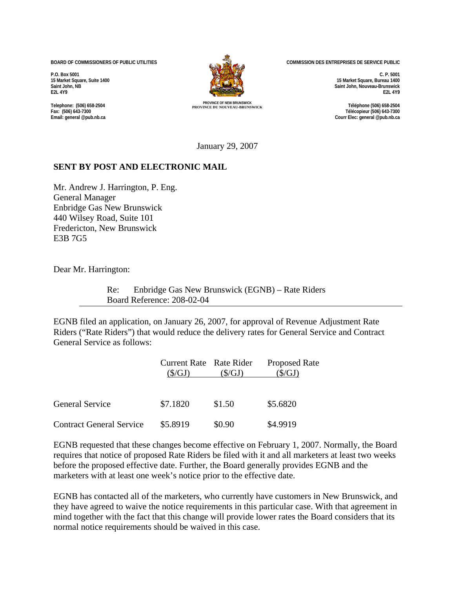**BOARD OF COMMISSIONERS OF PUBLIC UTILITIES** 

**P.O. Box 5001 15 Market Square, Suite 1400 Saint John, NB E2L 4Y9**

**Telephone: (506) 658-2504 Fax: (506) 643-7300 Email: general @pub.nb.ca**



**COMMISSION DES ENTREPRISES DE SERVICE PUBLIC** 

**C. P. 5001 15 Market Square, Bureau 1400 Saint John, Nouveau-Brunswick E2L 4Y9** 

**PROVINCE OF NEW BRUNSWICK PROVINCE DU NOUVEAU-BRUNSWICK Téléphone (506) 658-2504 Télécopieur (506) 643-7300 Courr Elec: general @pub.nb.ca**

January 29, 2007

## **SENT BY POST AND ELECTRONIC MAIL**

Mr. Andrew J. Harrington, P. Eng. General Manager Enbridge Gas New Brunswick 440 Wilsey Road, Suite 101 Fredericton, New Brunswick E3B 7G5

Dear Mr. Harrington:

Re: Enbridge Gas New Brunswick (EGNB) – Rate Riders Board Reference: 208-02-04

EGNB filed an application, on January 26, 2007, for approval of Revenue Adjustment Rate Riders ("Rate Riders") that would reduce the delivery rates for General Service and Contract General Service as follows:

|                                 | Current Rate Rate Rider<br>(\$/GJ) | (S/GJ) | <b>Proposed Rate</b><br>$(\$/GJ)$ |
|---------------------------------|------------------------------------|--------|-----------------------------------|
| <b>General Service</b>          | \$7.1820                           | \$1.50 | \$5.6820                          |
| <b>Contract General Service</b> | \$5.8919                           | \$0.90 | \$4.9919                          |

EGNB requested that these changes become effective on February 1, 2007. Normally, the Board requires that notice of proposed Rate Riders be filed with it and all marketers at least two weeks before the proposed effective date. Further, the Board generally provides EGNB and the marketers with at least one week's notice prior to the effective date.

EGNB has contacted all of the marketers, who currently have customers in New Brunswick, and they have agreed to waive the notice requirements in this particular case. With that agreement in mind together with the fact that this change will provide lower rates the Board considers that its normal notice requirements should be waived in this case.